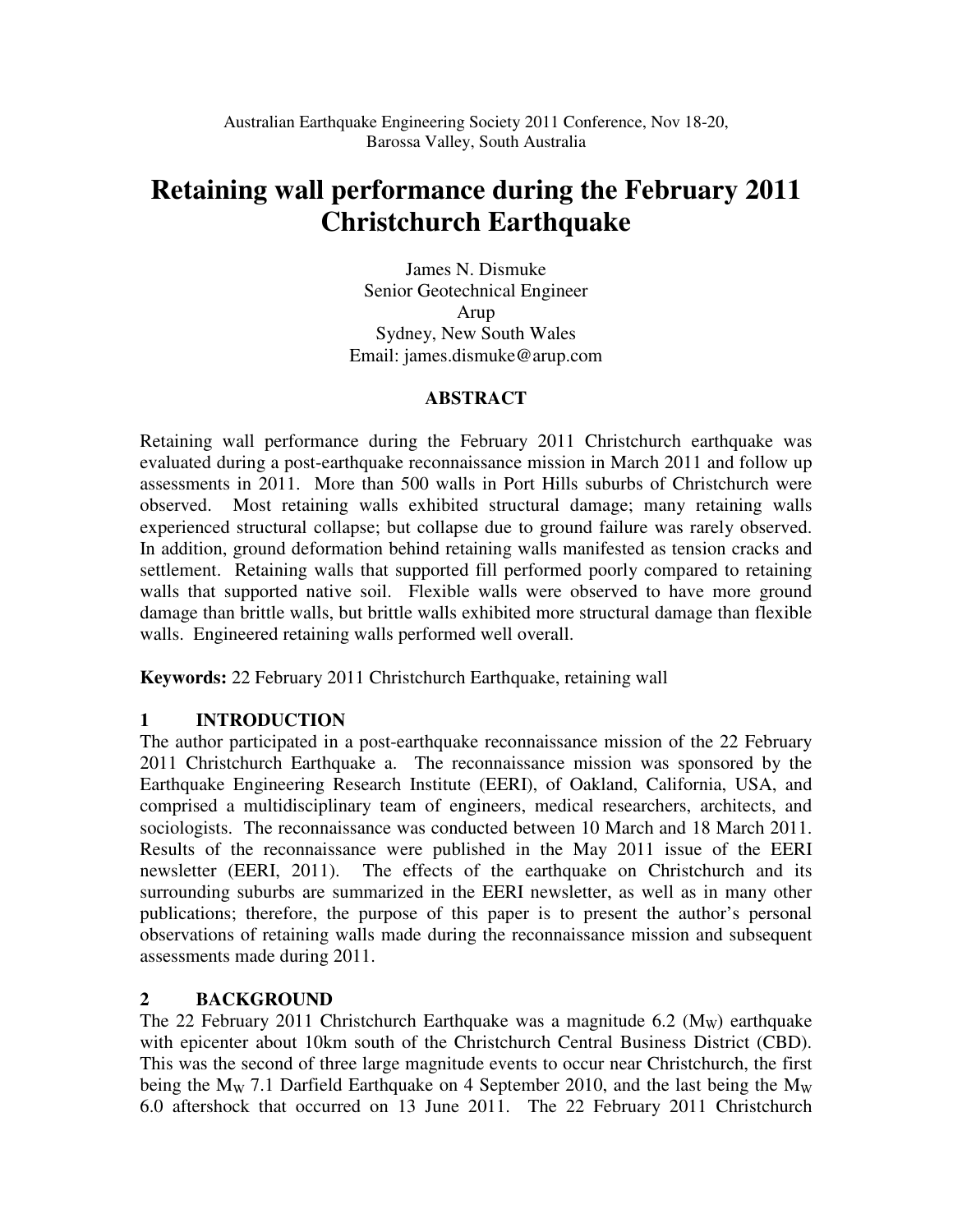# **Retaining wall performance during the February 2011 Christchurch Earthquake**

James N. Dismuke Senior Geotechnical Engineer Arup Sydney, New South Wales Email: james.dismuke@arup.com

# **ABSTRACT**

Retaining wall performance during the February 2011 Christchurch earthquake was evaluated during a post-earthquake reconnaissance mission in March 2011 and follow up assessments in 2011. More than 500 walls in Port Hills suburbs of Christchurch were observed. Most retaining walls exhibited structural damage; many retaining walls experienced structural collapse; but collapse due to ground failure was rarely observed. In addition, ground deformation behind retaining walls manifested as tension cracks and settlement. Retaining walls that supported fill performed poorly compared to retaining walls that supported native soil. Flexible walls were observed to have more ground damage than brittle walls, but brittle walls exhibited more structural damage than flexible walls. Engineered retaining walls performed well overall.

**Keywords:** 22 February 2011 Christchurch Earthquake, retaining wall

# **1 INTRODUCTION**

The author participated in a post-earthquake reconnaissance mission of the 22 February 2011 Christchurch Earthquake a. The reconnaissance mission was sponsored by the Earthquake Engineering Research Institute (EERI), of Oakland, California, USA, and comprised a multidisciplinary team of engineers, medical researchers, architects, and sociologists. The reconnaissance was conducted between 10 March and 18 March 2011. Results of the reconnaissance were published in the May 2011 issue of the EERI newsletter (EERI, 2011). The effects of the earthquake on Christchurch and its surrounding suburbs are summarized in the EERI newsletter, as well as in many other publications; therefore, the purpose of this paper is to present the author's personal observations of retaining walls made during the reconnaissance mission and subsequent assessments made during 2011.

# **2 BACKGROUND**

The 22 February 2011 Christchurch Earthquake was a magnitude 6.2 ( $M_{\rm W}$ ) earthquake with epicenter about 10km south of the Christchurch Central Business District (CBD). This was the second of three large magnitude events to occur near Christchurch, the first being the M<sub>W</sub> 7.1 Darfield Earthquake on 4 September 2010, and the last being the M<sub>W</sub> 6.0 aftershock that occurred on 13 June 2011. The 22 February 2011 Christchurch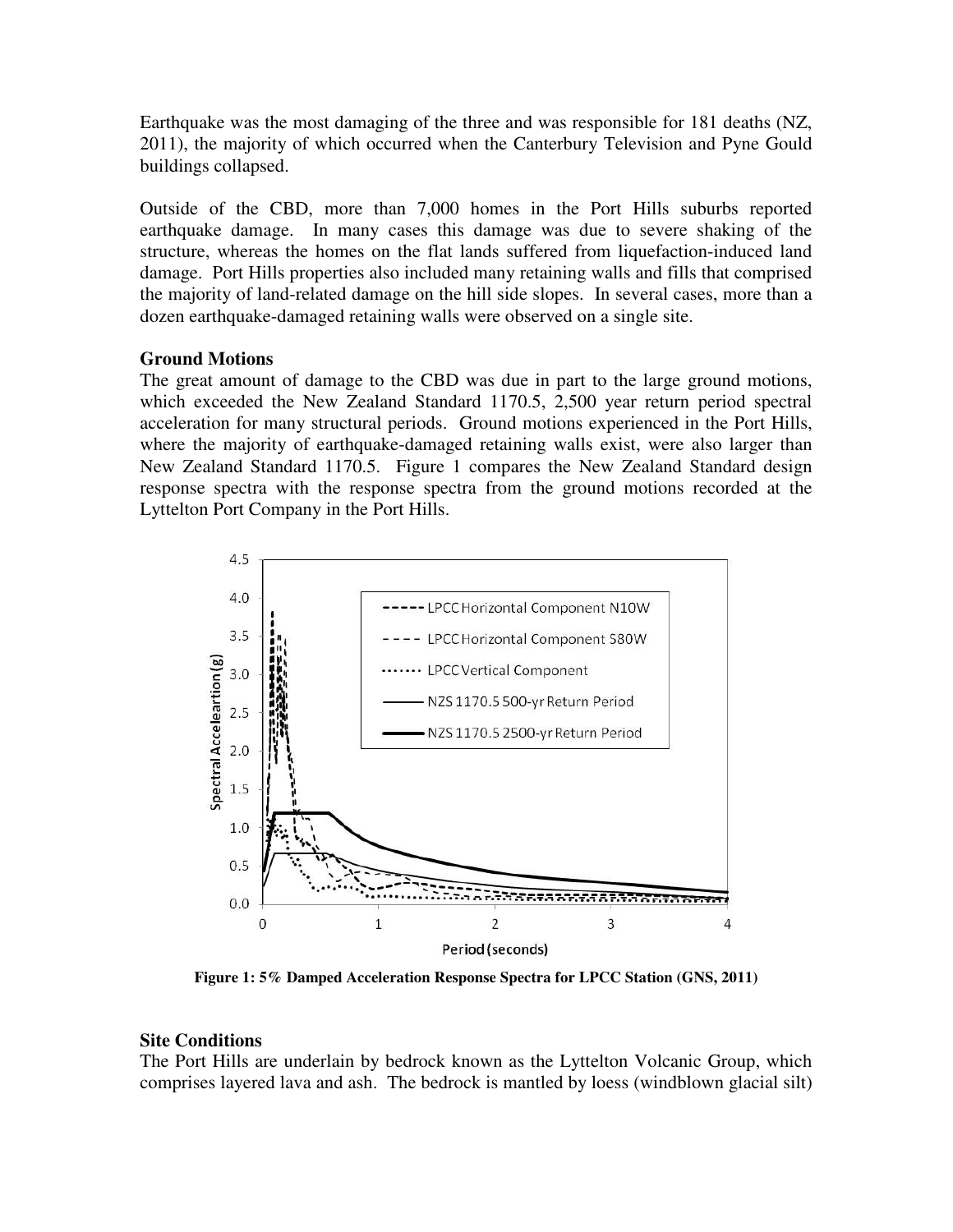Earthquake was the most damaging of the three and was responsible for 181 deaths (NZ, 2011), the majority of which occurred when the Canterbury Television and Pyne Gould buildings collapsed.

Outside of the CBD, more than 7,000 homes in the Port Hills suburbs reported earthquake damage. In many cases this damage was due to severe shaking of the structure, whereas the homes on the flat lands suffered from liquefaction-induced land damage. Port Hills properties also included many retaining walls and fills that comprised the majority of land-related damage on the hill side slopes. In several cases, more than a dozen earthquake-damaged retaining walls were observed on a single site.

# **Ground Motions**

The great amount of damage to the CBD was due in part to the large ground motions, which exceeded the New Zealand Standard 1170.5, 2,500 year return period spectral acceleration for many structural periods. Ground motions experienced in the Port Hills, where the majority of earthquake-damaged retaining walls exist, were also larger than New Zealand Standard 1170.5. Figure 1 compares the New Zealand Standard design response spectra with the response spectra from the ground motions recorded at the Lyttelton Port Company in the Port Hills.



**Figure 1: 5% Damped Acceleration Response Spectra for LPCC Station (GNS, 2011)** 

#### **Site Conditions**

The Port Hills are underlain by bedrock known as the Lyttelton Volcanic Group, which comprises layered lava and ash. The bedrock is mantled by loess (windblown glacial silt)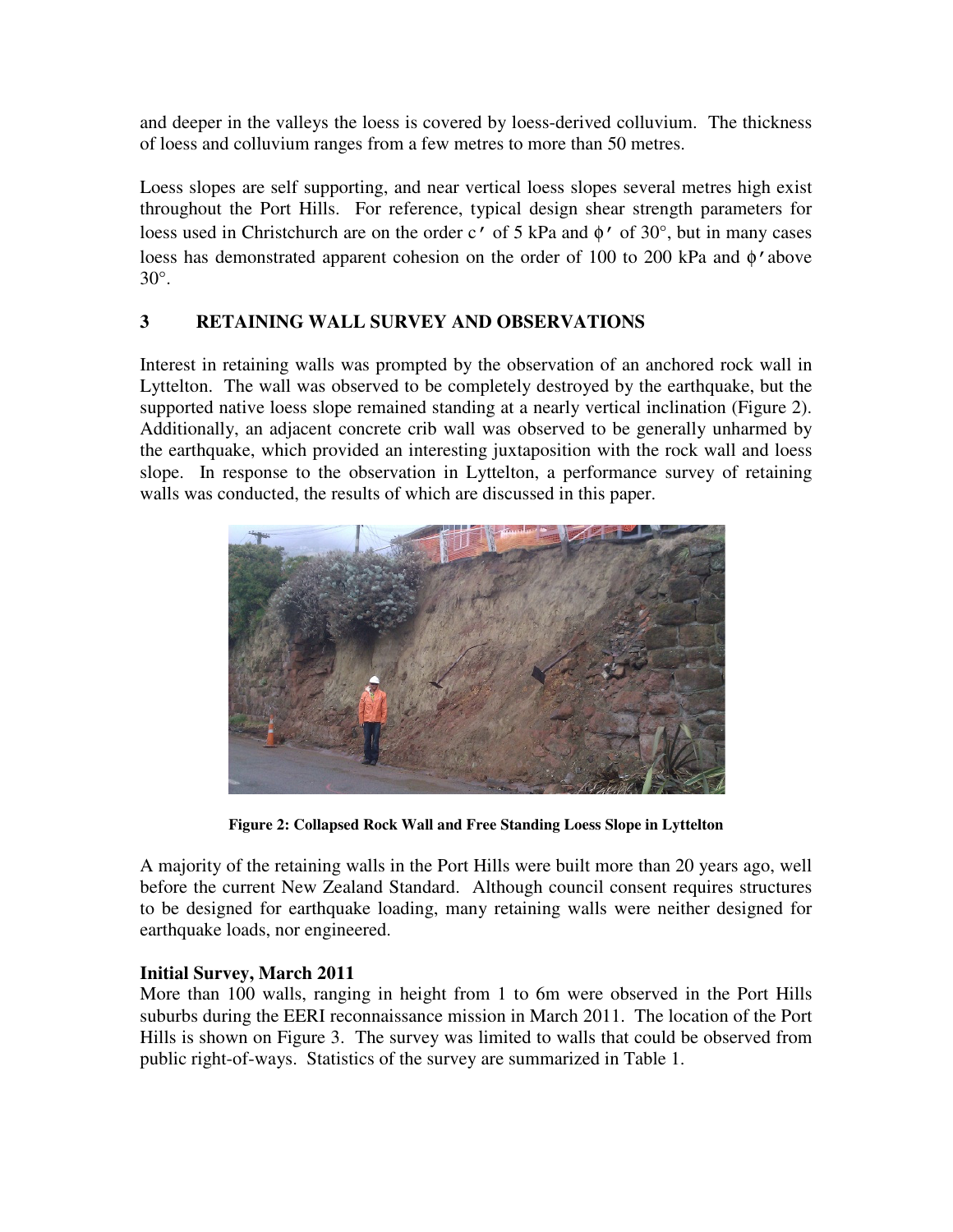and deeper in the valleys the loess is covered by loess-derived colluvium. The thickness of loess and colluvium ranges from a few metres to more than 50 metres.

Loess slopes are self supporting, and near vertical loess slopes several metres high exist throughout the Port Hills. For reference, typical design shear strength parameters for loess used in Christchurch are on the order c' of 5 kPa and φ' of 30°, but in many cases loess has demonstrated apparent cohesion on the order of 100 to 200 kPa and φ'above 30°.

# **3 RETAINING WALL SURVEY AND OBSERVATIONS**

Interest in retaining walls was prompted by the observation of an anchored rock wall in Lyttelton. The wall was observed to be completely destroyed by the earthquake, but the supported native loess slope remained standing at a nearly vertical inclination (Figure 2). Additionally, an adjacent concrete crib wall was observed to be generally unharmed by the earthquake, which provided an interesting juxtaposition with the rock wall and loess slope. In response to the observation in Lyttelton, a performance survey of retaining walls was conducted, the results of which are discussed in this paper.



**Figure 2: Collapsed Rock Wall and Free Standing Loess Slope in Lyttelton** 

A majority of the retaining walls in the Port Hills were built more than 20 years ago, well before the current New Zealand Standard. Although council consent requires structures to be designed for earthquake loading, many retaining walls were neither designed for earthquake loads, nor engineered.

# **Initial Survey, March 2011**

More than 100 walls, ranging in height from 1 to 6m were observed in the Port Hills suburbs during the EERI reconnaissance mission in March 2011. The location of the Port Hills is shown on Figure 3. The survey was limited to walls that could be observed from public right-of-ways. Statistics of the survey are summarized in Table 1.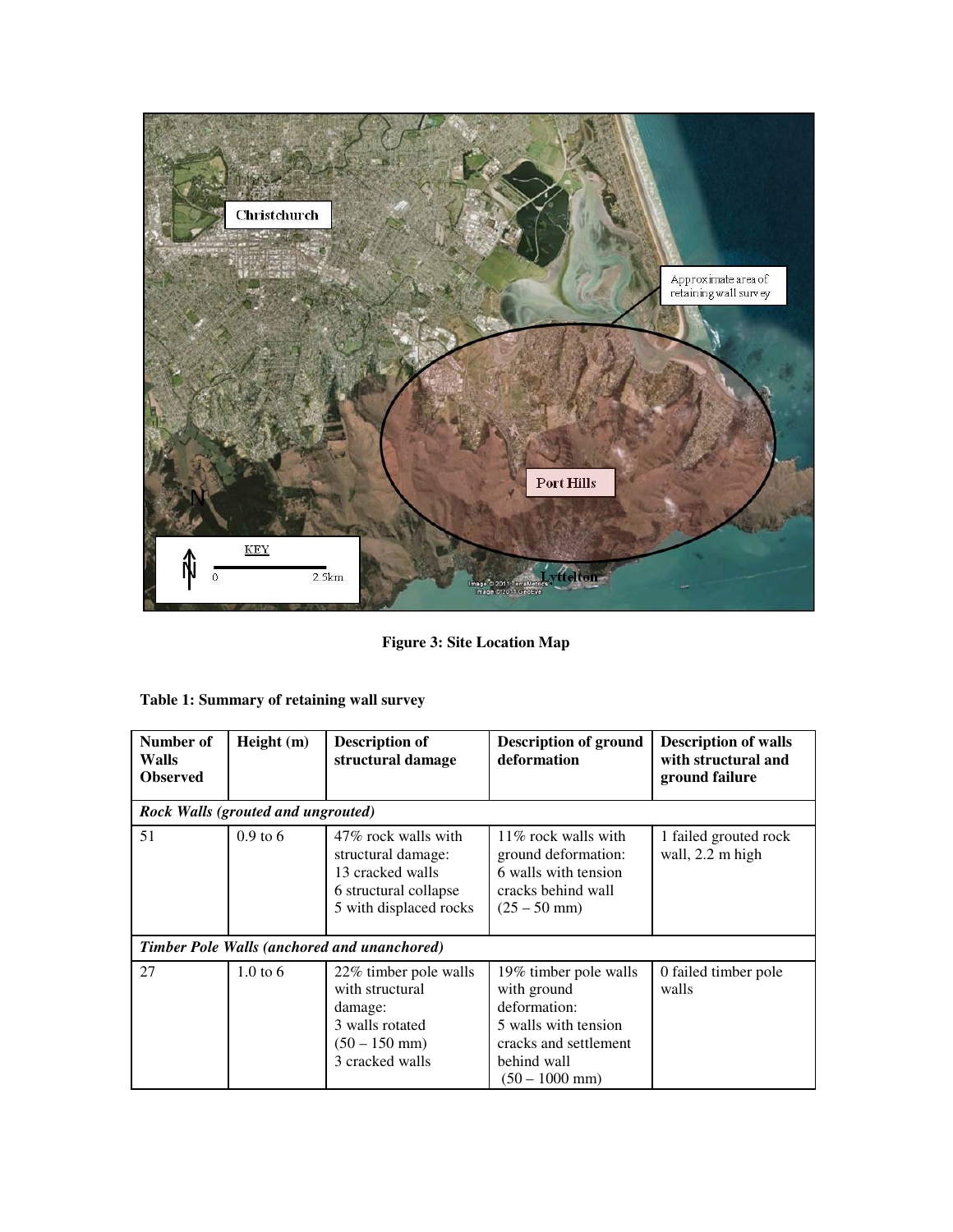

**Figure 3: Site Location Map** 

| Number of<br>Walls<br><b>Observed</b>              | Height (m)          | <b>Description of</b><br>structural damage                                                                       | <b>Description of ground</b><br>deformation                                                                                              | <b>Description of walls</b><br>with structural and<br>ground failure |  |  |
|----------------------------------------------------|---------------------|------------------------------------------------------------------------------------------------------------------|------------------------------------------------------------------------------------------------------------------------------------------|----------------------------------------------------------------------|--|--|
| <b>Rock Walls (grouted and ungrouted)</b>          |                     |                                                                                                                  |                                                                                                                                          |                                                                      |  |  |
| 51                                                 | $0.9$ to 6          | 47% rock walls with<br>structural damage:<br>13 cracked walls<br>6 structural collapse<br>5 with displaced rocks | $11\%$ rock walls with<br>ground deformation:<br>6 walls with tension<br>cracks behind wall<br>$(25 - 50$ mm)                            | 1 failed grouted rock<br>wall, 2.2 m high                            |  |  |
| <b>Timber Pole Walls (anchored and unanchored)</b> |                     |                                                                                                                  |                                                                                                                                          |                                                                      |  |  |
| 27                                                 | $1.0 \text{ to } 6$ | 22% timber pole walls<br>with structural<br>damage:<br>3 walls rotated<br>$(50 - 150$ mm)<br>3 cracked walls     | 19% timber pole walls<br>with ground<br>deformation:<br>5 walls with tension<br>cracks and settlement<br>behind wall<br>$(50 - 1000$ mm) | 0 failed timber pole<br>walls                                        |  |  |

| Table 1: Summary of retaining wall survey |  |  |
|-------------------------------------------|--|--|
|-------------------------------------------|--|--|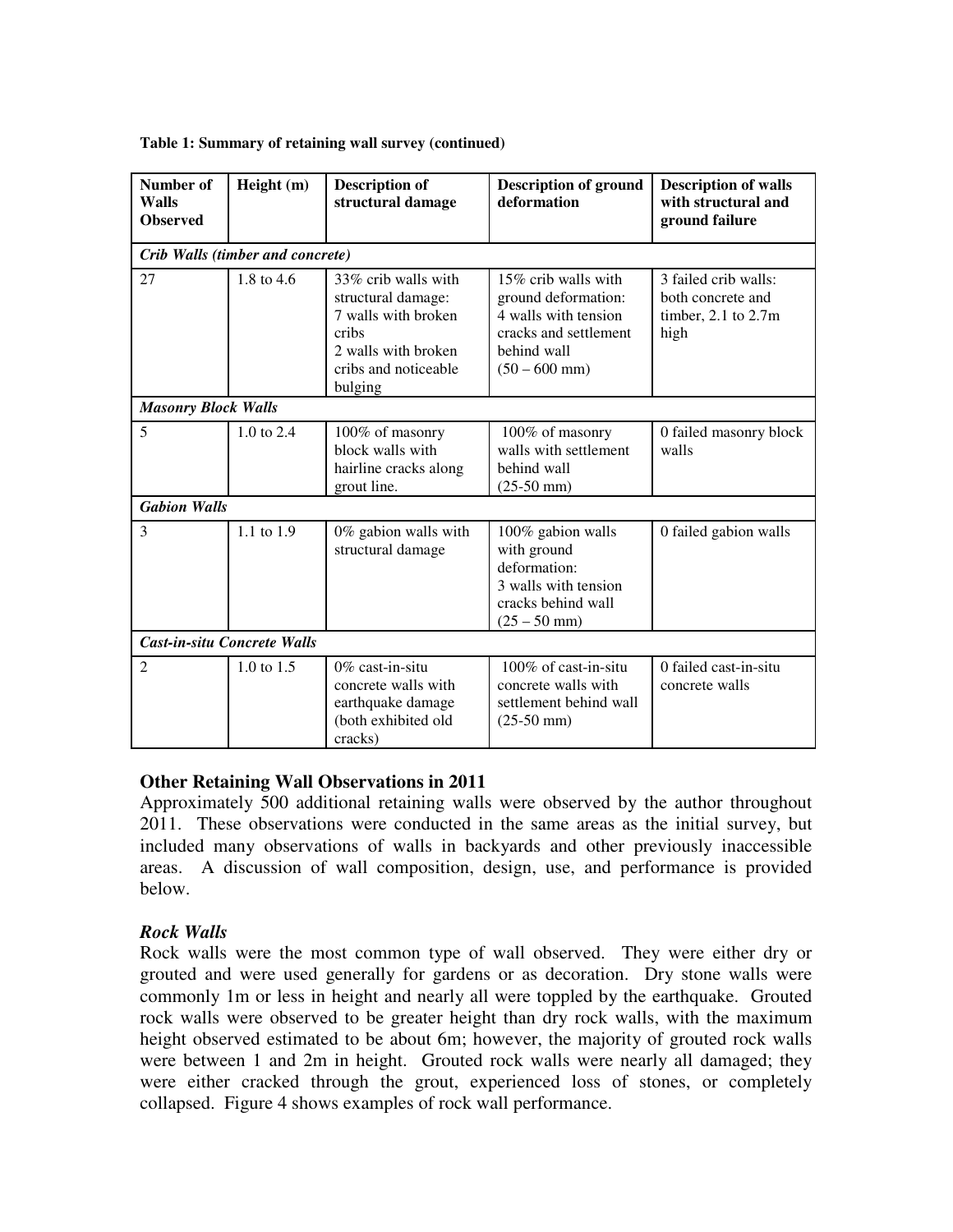| <b>Number of</b><br>Walls<br><b>Observed</b> | Height (m)            | <b>Description of</b><br>structural damage                                                                                          | <b>Description of ground</b><br>deformation                                                                                   | <b>Description of walls</b><br>with structural and<br>ground failure     |  |  |  |
|----------------------------------------------|-----------------------|-------------------------------------------------------------------------------------------------------------------------------------|-------------------------------------------------------------------------------------------------------------------------------|--------------------------------------------------------------------------|--|--|--|
| Crib Walls (timber and concrete)             |                       |                                                                                                                                     |                                                                                                                               |                                                                          |  |  |  |
| 27                                           | 1.8 to 4.6            | 33% crib walls with<br>structural damage:<br>7 walls with broken<br>cribs<br>2 walls with broken<br>cribs and noticeable<br>bulging | 15% crib walls with<br>ground deformation:<br>4 walls with tension<br>cracks and settlement<br>behind wall<br>$(50 - 600$ mm) | 3 failed crib walls:<br>both concrete and<br>timber, 2.1 to 2.7m<br>high |  |  |  |
| <b>Masonry Block Walls</b>                   |                       |                                                                                                                                     |                                                                                                                               |                                                                          |  |  |  |
| 5                                            | $1.0 \text{ to } 2.4$ | 100% of masonry<br>block walls with<br>hairline cracks along<br>grout line.                                                         | 100% of masonry<br>walls with settlement<br>behind wall<br>$(25-50$ mm $)$                                                    | 0 failed masonry block<br>walls                                          |  |  |  |
| <b>Gabion Walls</b>                          |                       |                                                                                                                                     |                                                                                                                               |                                                                          |  |  |  |
| 3                                            | 1.1 to 1.9            | 0% gabion walls with<br>structural damage                                                                                           | 100% gabion walls<br>with ground<br>deformation:<br>3 walls with tension<br>cracks behind wall<br>$(25 - 50$ mm)              | 0 failed gabion walls                                                    |  |  |  |
| <b>Cast-in-situ Concrete Walls</b>           |                       |                                                                                                                                     |                                                                                                                               |                                                                          |  |  |  |
| $\overline{c}$                               | 1.0 to 1.5            | $0\%$ cast-in-situ<br>concrete walls with<br>earthquake damage<br>(both exhibited old<br>cracks)                                    | $100\%$ of cast-in-situ<br>concrete walls with<br>settlement behind wall<br>$(25-50$ mm $)$                                   | 0 failed cast-in-situ<br>concrete walls                                  |  |  |  |

#### **Table 1: Summary of retaining wall survey (continued)**

#### **Other Retaining Wall Observations in 2011**

Approximately 500 additional retaining walls were observed by the author throughout 2011. These observations were conducted in the same areas as the initial survey, but included many observations of walls in backyards and other previously inaccessible areas. A discussion of wall composition, design, use, and performance is provided below.

#### *Rock Walls*

Rock walls were the most common type of wall observed. They were either dry or grouted and were used generally for gardens or as decoration. Dry stone walls were commonly 1m or less in height and nearly all were toppled by the earthquake. Grouted rock walls were observed to be greater height than dry rock walls, with the maximum height observed estimated to be about 6m; however, the majority of grouted rock walls were between 1 and 2m in height. Grouted rock walls were nearly all damaged; they were either cracked through the grout, experienced loss of stones, or completely collapsed. Figure 4 shows examples of rock wall performance.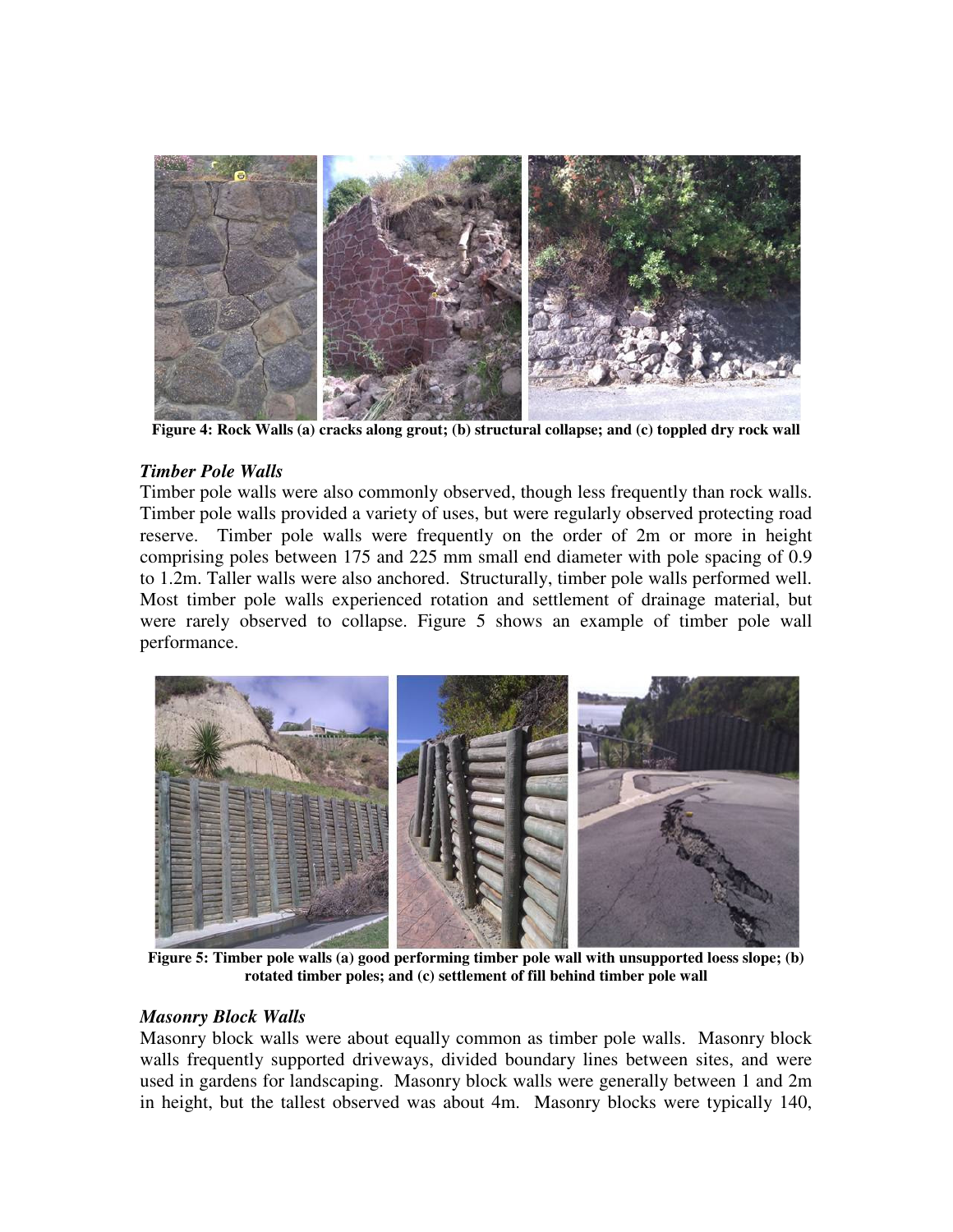

**Figure 4: Rock Walls (a) cracks along grout; (b) structural collapse; and (c) toppled dry rock wall** 

#### *Timber Pole Walls*

Timber pole walls were also commonly observed, though less frequently than rock walls. Timber pole walls provided a variety of uses, but were regularly observed protecting road reserve. Timber pole walls were frequently on the order of 2m or more in height comprising poles between 175 and 225 mm small end diameter with pole spacing of 0.9 to 1.2m. Taller walls were also anchored. Structurally, timber pole walls performed well. Most timber pole walls experienced rotation and settlement of drainage material, but were rarely observed to collapse. Figure 5 shows an example of timber pole wall performance.



**Figure 5: Timber pole walls (a) good performing timber pole wall with unsupported loess slope; (b) rotated timber poles; and (c) settlement of fill behind timber pole wall** 

#### *Masonry Block Walls*

Masonry block walls were about equally common as timber pole walls. Masonry block walls frequently supported driveways, divided boundary lines between sites, and were used in gardens for landscaping. Masonry block walls were generally between 1 and 2m in height, but the tallest observed was about 4m. Masonry blocks were typically 140,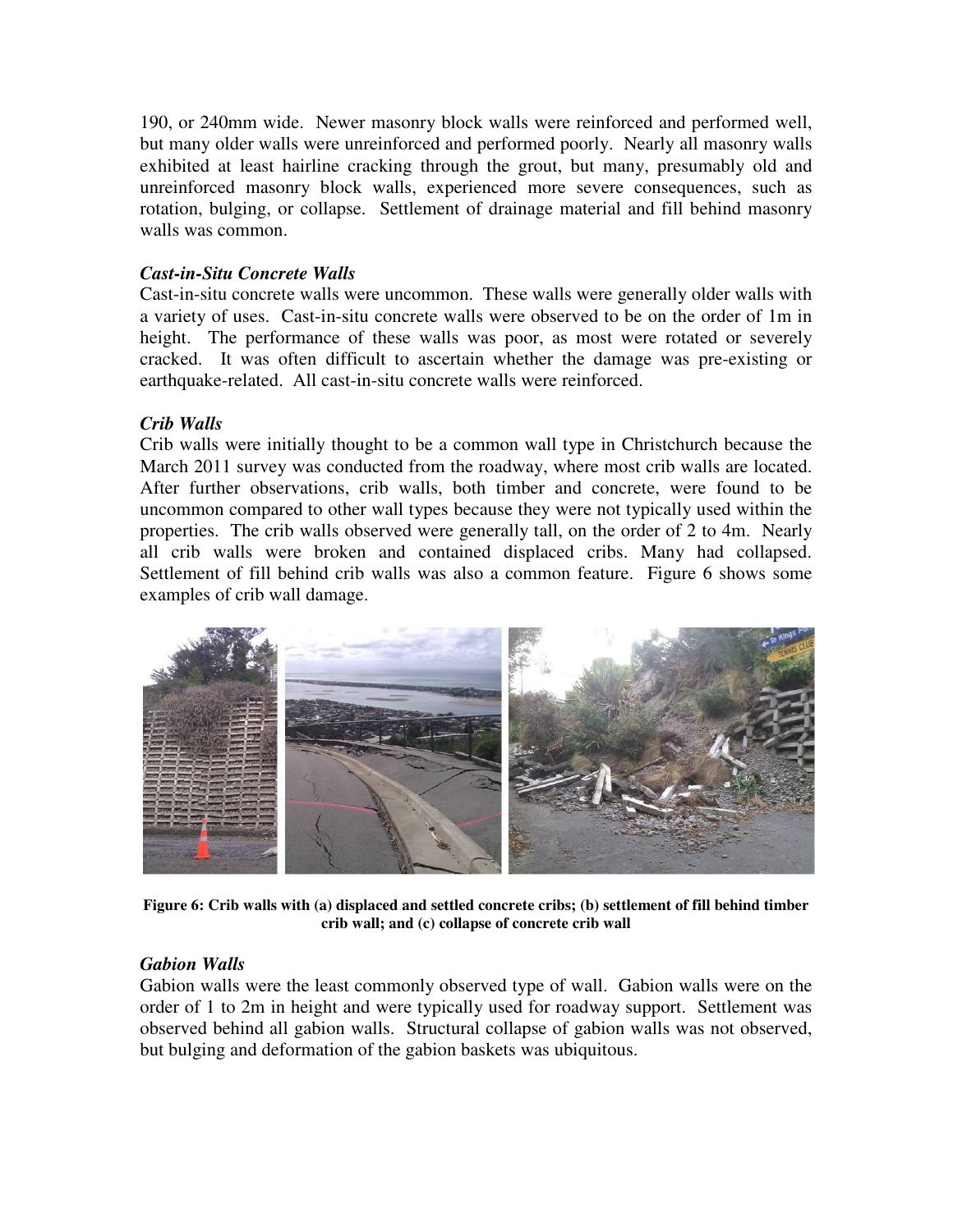190, or 240mm wide. Newer masonry block walls were reinforced and performed well, but many older walls were unreinforced and performed poorly. Nearly all masonry walls exhibited at least hairline cracking through the grout, but many, presumably old and unreinforced masonry block walls, experienced more severe consequences, such as rotation, bulging, or collapse. Settlement of drainage material and fill behind masonry walls was common.

## *Cast-in-Situ Concrete Walls*

Cast-in-situ concrete walls were uncommon. These walls were generally older walls with a variety of uses. Cast-in-situ concrete walls were observed to be on the order of 1m in height. The performance of these walls was poor, as most were rotated or severely cracked. It was often difficult to ascertain whether the damage was pre-existing or earthquake-related. All cast-in-situ concrete walls were reinforced.

## *Crib Walls*

Crib walls were initially thought to be a common wall type in Christchurch because the March 2011 survey was conducted from the roadway, where most crib walls are located. After further observations, crib walls, both timber and concrete, were found to be uncommon compared to other wall types because they were not typically used within the properties. The crib walls observed were generally tall, on the order of 2 to 4m. Nearly all crib walls were broken and contained displaced cribs. Many had collapsed. Settlement of fill behind crib walls was also a common feature. Figure 6 shows some examples of crib wall damage.



**Figure 6: Crib walls with (a) displaced and settled concrete cribs; (b) settlement of fill behind timber crib wall; and (c) collapse of concrete crib wall** 

#### *Gabion Walls*

Gabion walls were the least commonly observed type of wall. Gabion walls were on the order of 1 to 2m in height and were typically used for roadway support. Settlement was observed behind all gabion walls. Structural collapse of gabion walls was not observed, but bulging and deformation of the gabion baskets was ubiquitous.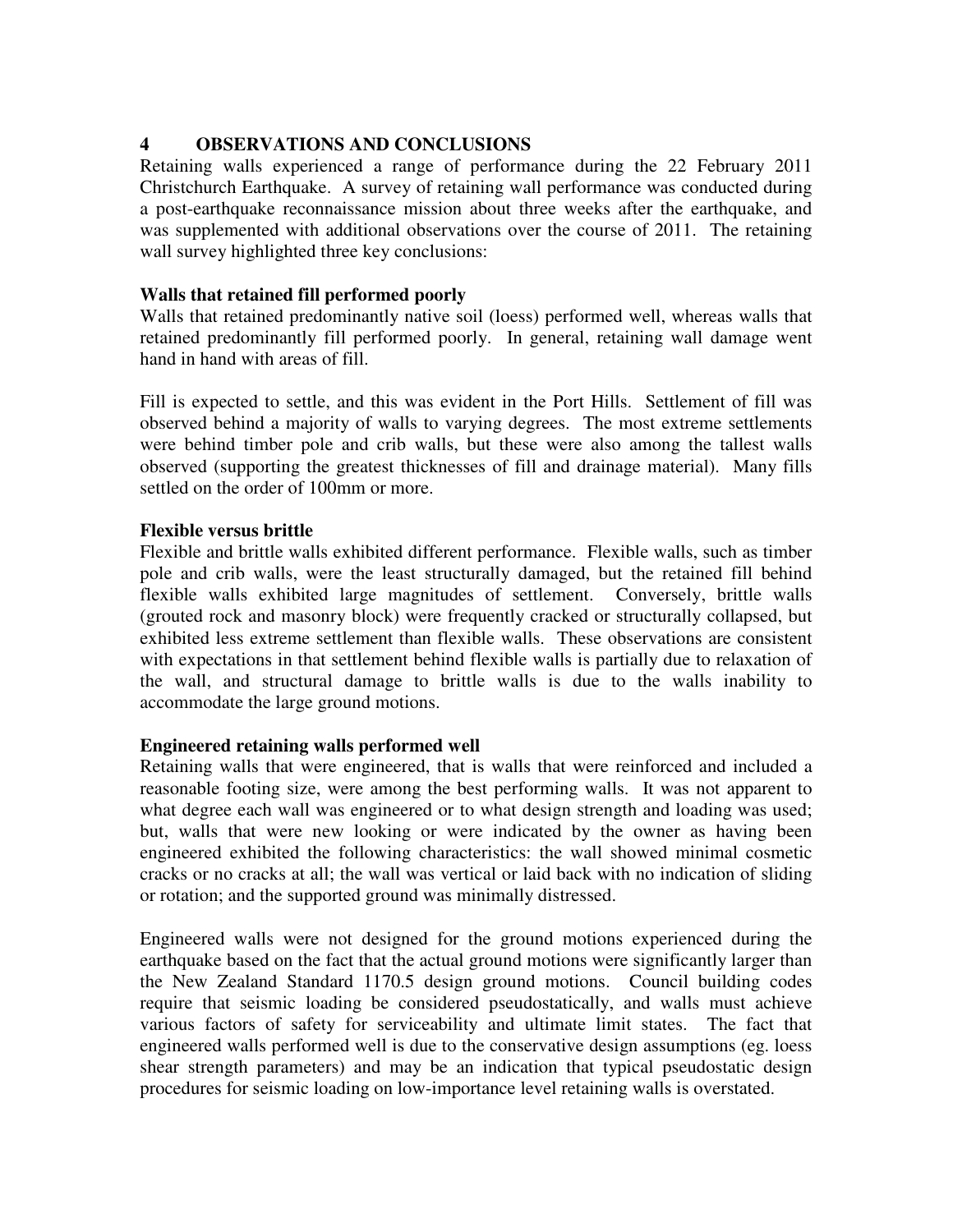## **4 OBSERVATIONS AND CONCLUSIONS**

Retaining walls experienced a range of performance during the 22 February 2011 Christchurch Earthquake. A survey of retaining wall performance was conducted during a post-earthquake reconnaissance mission about three weeks after the earthquake, and was supplemented with additional observations over the course of 2011. The retaining wall survey highlighted three key conclusions:

## **Walls that retained fill performed poorly**

Walls that retained predominantly native soil (loess) performed well, whereas walls that retained predominantly fill performed poorly. In general, retaining wall damage went hand in hand with areas of fill.

Fill is expected to settle, and this was evident in the Port Hills. Settlement of fill was observed behind a majority of walls to varying degrees. The most extreme settlements were behind timber pole and crib walls, but these were also among the tallest walls observed (supporting the greatest thicknesses of fill and drainage material). Many fills settled on the order of 100mm or more.

#### **Flexible versus brittle**

Flexible and brittle walls exhibited different performance. Flexible walls, such as timber pole and crib walls, were the least structurally damaged, but the retained fill behind flexible walls exhibited large magnitudes of settlement. Conversely, brittle walls (grouted rock and masonry block) were frequently cracked or structurally collapsed, but exhibited less extreme settlement than flexible walls. These observations are consistent with expectations in that settlement behind flexible walls is partially due to relaxation of the wall, and structural damage to brittle walls is due to the walls inability to accommodate the large ground motions.

#### **Engineered retaining walls performed well**

Retaining walls that were engineered, that is walls that were reinforced and included a reasonable footing size, were among the best performing walls. It was not apparent to what degree each wall was engineered or to what design strength and loading was used; but, walls that were new looking or were indicated by the owner as having been engineered exhibited the following characteristics: the wall showed minimal cosmetic cracks or no cracks at all; the wall was vertical or laid back with no indication of sliding or rotation; and the supported ground was minimally distressed.

Engineered walls were not designed for the ground motions experienced during the earthquake based on the fact that the actual ground motions were significantly larger than the New Zealand Standard 1170.5 design ground motions. Council building codes require that seismic loading be considered pseudostatically, and walls must achieve various factors of safety for serviceability and ultimate limit states. The fact that engineered walls performed well is due to the conservative design assumptions (eg. loess shear strength parameters) and may be an indication that typical pseudostatic design procedures for seismic loading on low-importance level retaining walls is overstated.